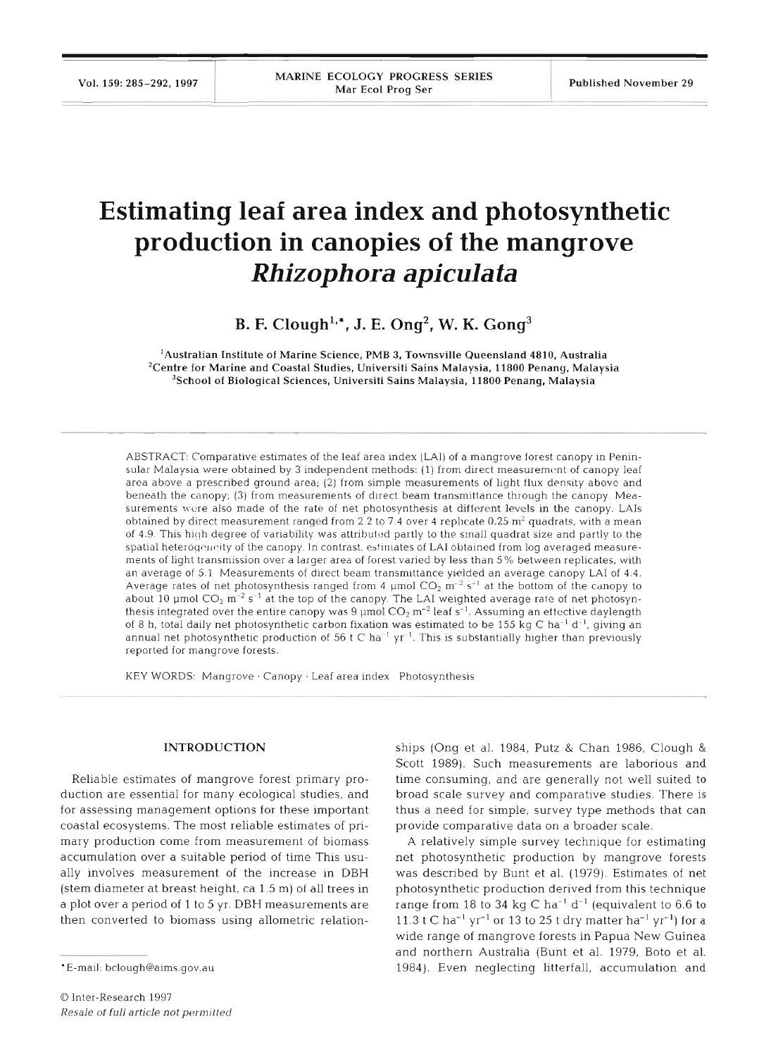## **Estimating leaf area index and photosynthetic production in canopies of the mangrove**  *Rhizophora apicula ta*

B. F. Clough<sup>1,\*</sup>, J. E. Ong<sup>2</sup>, W. K. Gong<sup>3</sup>

'Australian Institute of Marine Science, PMB **3.** Townsville Queensland **4810,** Australia 'Centre for Marine and Coastal Studies, Universiti Sains Malaysia, **11800** Penang, Malaysia 3School of Biological Sciences, Universiti Sains Malaysia, **11800** Penang, Malaysia

ABSTRACT: Comparative estimates of the leaf area index (LAI) of a mangrove forest canopy in Peninsular Malaysia were obtained by 3 independent methods: (1) from direct measurement of canopy leaf area above a prescribed ground area; (2) from simple measurements of light flux density above and beneath the canopy; (3) from measurements of direct beam transmittance through the canopy. Measurements were also made of the rate of net photosynthesis at different levels in the canopy. LAIs obtained by direct measurement ranged from 2.2 to 7.4 over 4 rephcate  $0.25$  m<sup>2</sup> quadrats, with a mean of 4.9. This high degree of variability was attributed partly to the small quadrat size and partly to the spatial heterogeneity of the canopy. In contrast, estimates of LAI obtained from log averaged measurements of light transmission over a larger area of forest vaned by less than 5% between replicates, with an average of 5.1 Measurements of direct beam transmittance yielded an average canopy LAI of 4.4. Average rates of net photosynthesis ranged from 4  $\mu$ mol CO<sub>2</sub> m<sup>-2</sup> s<sup>-1</sup> at the bottom of the canopy to about 10 µmol  $CO_2$  m<sup>-2</sup> s<sup>-1</sup> at the top of the canopy. The LAI weighted average rate of net photosynthesis integrated over the entire canopy was 9  $\mu$ mol CO<sub>2</sub> m<sup>-2</sup> leaf s<sup>-1</sup>. Assuming an ettective daylength of 8 h, total daily net photosynthetic carbon fixation was estimated to be 155 kg C ha<sup>-1</sup> d<sup>-1</sup>, giving an annual net photosynthetic production of 56 t C ha<sup>-1</sup> yr<sup>-1</sup>. This is substantially higher than previously reported for mangrove forests

KEY WORDS: Mangrove · Canopy · Leaf area index Photosynthesis

## **INTRODUCTION**

Reliable estimates of mangrove forest primary production are essential for many ecological studies, and for assessing management options for these important coastal ecosystems. The most reliable estimates of pnmary production come from measurement of biomass accumulation over a suitable period of time This usually involves measurement of the increase in DBH (stem diameter at breast height, ca 1.5 m) of all trees in a plot over a period of 1 to 5 yr. DBH measurements are then converted to biomass using allometric relationships (Ong et al. 1984, Putz & Chan 1986, Clough &

Scott 1989). Such measurements are laborious and<br>time consuming, and are generally not well suited to<br>broad scale survey and comparative studies. There is<br>thus a need for simple, survey type methods that can<br>provide compa wide range of mangrove forests in Papua New Guinea and northern Australia (Bunt et al. 1979, Boto et al. 1984). Even neglecting litterfall, accumulation and

<sup>\*</sup>E-mail: bclough@aims.gov.au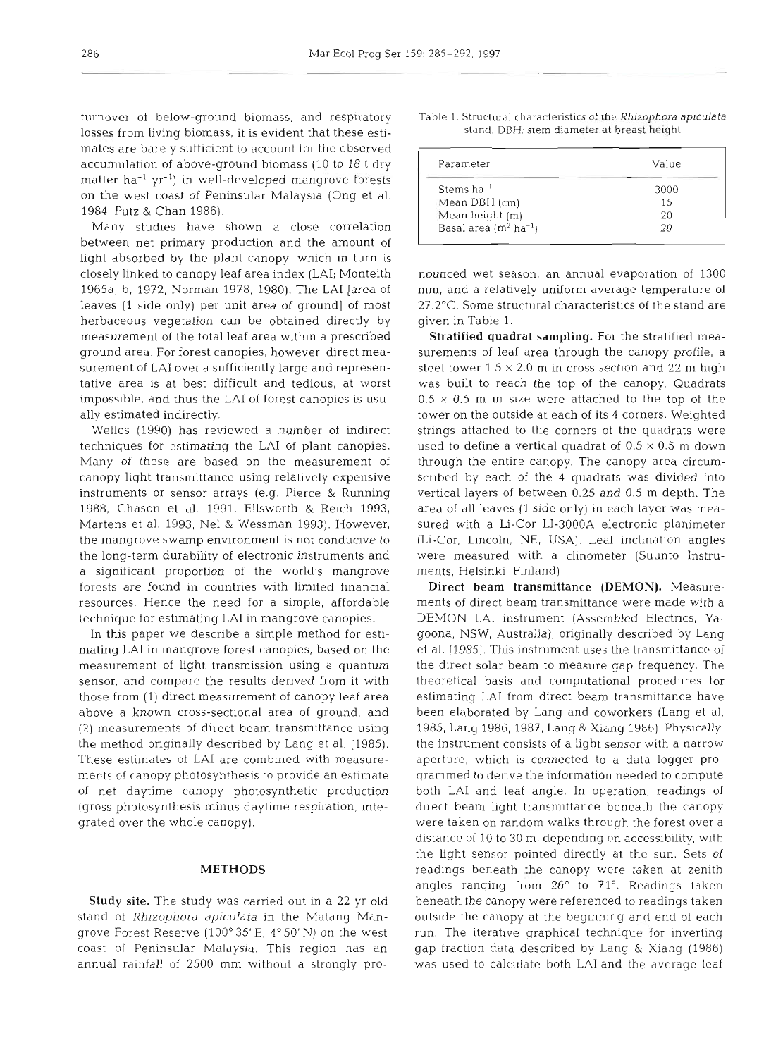turnover of below-ground biomass, and respiratory losses from living biomass, it is evident that these estimates are barely sufficient to account for the observed accumulation of above-ground biomass (10 to 18 t dry matter  $ha^{-1} yr^{-1}$ ) in well-developed mangrove forests on the west coast of Peninsular Malaysia (Ong et al. 1984, Putz & Chan 1986).

Many studies have shown a close correlation between net primary production and the amount of light absorbed by the plant canopy, which in turn is closely linked to canopy leaf area index (LAI; Monteith 1965a, b, 1972, Norman 1978, 1980). The LA1 [area of leaves (1 side only) per unit area of ground] of most 27.2°C. Some structural characteristics of the stand are herbaceous vegetation can be obtained directly by given in Table 1. measurement of the total leaf area within a prescribed ground area. For forest canopies, however, direct measurement of LA1 over a sufficiently large and representative area is at best difficult and tedious, at worst impossible, and thus the LA1 of forest canopies is usually estimated indirectly.

techniques for estimating the LAI of plant canopies. used to define a vertical quadrat of  $0.5 \times 0.5$  m down Many of these are based on the measurement of canopy light transmittance using relatively expensive instruments or sensor arrays (e.g. Pierce & Running 1988, Chason et al. 1991, Ellsworth & Reich 1993, Martens et al. 1993, Nel & Wessman 1993). However, the mangrove swamp environment is not conducive to (Li-Cor, Lincoln, NE, USA). Leaf inclination angles the long-term durability of electronic instruments and a significant proportion of the world's mangrove forests are found in countries with limited financial resources. Hence the need for a simple, affordable technique for estimating LA1 in mangrove canopies.

In this paper we describe a simple method for estimating LAI in mangrove forest canopies, based on the et al. (1985). This instrument uses the transmittance of measurement of light transmission using a quantum the direct solar beam to measure gap frequency. The sensor, and compare the results derived from it with those from (1) direct measurement of canopy leaf area estimating LAI from direct beam transmittance have above a known cross-sectional area of ground, and been elaborated by Lang and coworkers (Lang et al. (2) measurements of direct beam transmittance using the method originally described by Lang et al. (1985). These estimates of LA1 are combined with measurements of canopy photosynthesis to provide an estimate of net daytime canopy photosynthetic production (gross photosynthesis minus daytime respiration, integrated over the whole canopy).

#### METHODS

stand of *Rhizophora apiculata* in the Matang Mangrove Forest Reserve (100" 35'E, **4"** 50' N) on the west coast of Peninsular Malaysia. This region has an annual rainfall of 2500 mm without a strongly pro-

| Table 1. Structural characteristics of the Rhizophora apiculata |
|-----------------------------------------------------------------|
| stand. DBH: stem diameter at breast height                      |
|                                                                 |

| Parameter                          | Value |  |  |
|------------------------------------|-------|--|--|
| Stems ha <sup>-1</sup>             | 3000  |  |  |
| Mean DBH (cm)                      | 15    |  |  |
| Mean height (m)                    | 20    |  |  |
| Basal area $(m^2 \text{ ha}^{-1})$ | 20    |  |  |

Welles (1990) has reviewed a number of indirect strings attached to the corners of the quadrats were

Study site. The study was carried out in a 22 yr old beneath the canopy were referenced to readings taken nced wie season, an annual evaporation of 1300<br>n, and a relatively uniform average temperature of<br><sup>9</sup>C. Some structural characteristics of the stand are<br>nn in Tabe 1.<br>The straitified quadrat sampling. For the straitified m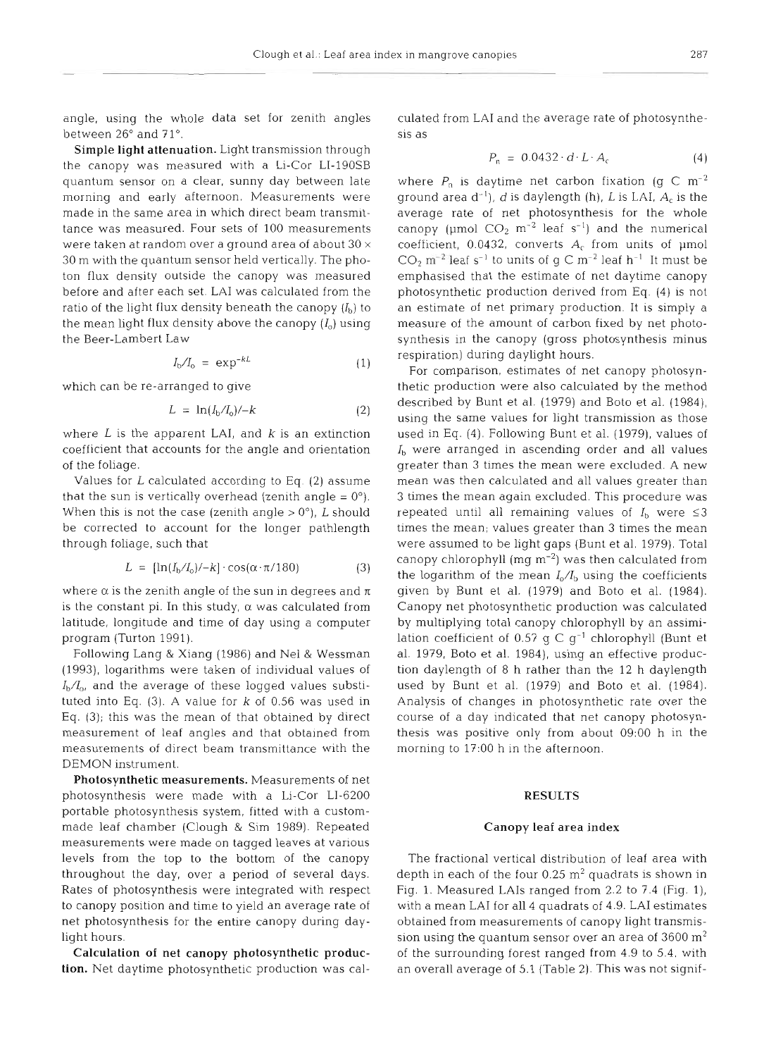angle, using the whole data set for zenith angles between  $26^{\circ}$  and  $71^{\circ}$ 

Simple light attenuation. Light transmission through the canopy was measured with a Li-Cor LI-19OSB quantum sensor on a clear, sunny day between late morning and early afternoon. Measurements were made in the same area in which direct beam transmittance was measured. Four sets of 100 measurements were taken at random over a ground area of about  $30 \times$ 30 m with the quantum sensor held vertically. The photon flux density outside the canopy was measured before and after each set. LA1 was calculated from the ratio of the light flux density beneath the canopy  $(I<sub>b</sub>)$  to the mean light flux density above the canopy  $(I_0)$  using the Beer-Lambert Law

$$
I_{\rm b}/I_{\rm o} = \exp^{-kL} \tag{1}
$$

which can be re-arranged to give

$$
L = \ln(I_{\text{b}}/I_{\text{o}})/-k \tag{2}
$$

where  $L$  is the apparent LAI, and  $k$  is an extinction coefficient that accounts for the angle and orientation of the foliage.

Values for  $L$  calculated according to Eq. (2) assume that the sun is vertically overhead (zenith angle  $= 0^{\circ}$ ). When this is not the case (zenith angle  $> 0^{\circ}$ ), L should be corrected to account for the longer pathlength through foliage, such that

$$
L = [\ln(I_b/I_o)/-k] \cdot \cos(\alpha \cdot \pi/180) \tag{3}
$$

where  $\alpha$  is the zenith angle of the sun in degrees and  $\pi$ is the constant pi. In this study,  $\alpha$  was calculated from latitude, longitude and time of day using a computer program (Turton 1991).

Following Lang & Xiang (1986) and Nel & Wessman (1993), logarithms were taken of individual values of *Ib/Io,* and the average of these logged values substituted into Eq.  $(3)$ . A value for  $k$  of 0.56 was used in Eq. (3); this was the mean of that obtained by direct measurement of leaf angles and that obtained from measurements of direct beam transmittance with the DEMON instrument.

Photosynthetic measurements. Measurements of net photosynthesis were made with a Li-Cor LI-6200 portable photosynthesis system, fitted with a custommade leaf chamber (Clough & Sim 1989). Repeated measurements were made on tagged leaves at varlous levels from the top to the bottom of the canopy throughout the day, over a period of several days. Rates of photosynthesis were integrated with respect to canopy position and time to yield an average rate of net photosynthesis for the entire canopy during daylight hours.

Calculation of net canopy photosynthetic production. Net daytime photosynthetic production was cal-

$$
P_n = 0.0432 \cdot d \cdot L \cdot A_c \tag{4}
$$

culated from LAI and the average rate of photosynthe-<br>sis as<br> $P_n = 0.0432 \cdot d \cdot L \cdot A_t$  (4)<br>where  $P_n$  is dayling net carbon fixation (g C m<sup>-2</sup><br>ground area d<sup>-1</sup>), d is daylength (h), L is LAI, A<sub>t</sub> is the<br>average rate of ne

#### **RESULTS**

**Canopy leaf area index**<br>
The fractional vertical distribution of leaf area with<br>
depth in each of the four  $0.25 \text{ m}^2$  quadrats is shown in<br>
Fig. 1. Measured LAIs ranged from 2.2 to 7.4 (Fig. 1),<br>
with a mean LAI for a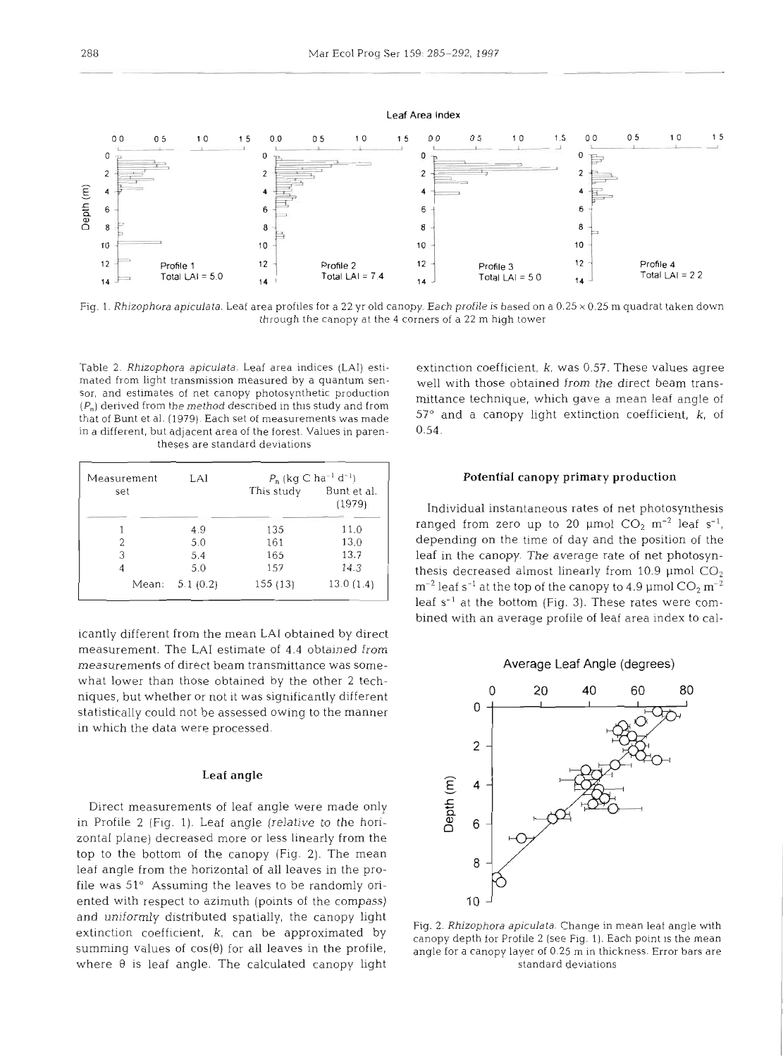

Fig. 1. Rhizophora apiculata. Leaf area profiles for a 22 yr old canopy. Each profile is based on a 0.25 **X** 0.25 m quadrat taken dowr, through the canopy at the 4 corners of a 22 m high tower

Table 2. Rhizophora apiculata. Leaf area indices (LAI) estimated from light transmission measured by a quantum sensor, and estimates of net canopy photosynthetic production  $(P_n)$  derived from the method described in this study and from that of Bunt et al. (1979). Each set of measurements was made  $\frac{37}{10}$  in a different, but adiacent area of the forest. Values in parenin a different, but adjacent area of the forest. Values in parentheses are standard deviations

| Measurement | LAI      | $P_n$ (kg C ha <sup>-1</sup> d <sup>-1</sup> ) |                       |  |
|-------------|----------|------------------------------------------------|-----------------------|--|
| set         |          | This study                                     | Bunt et al.<br>(1979) |  |
|             | 4.9      | 135                                            | 11.0                  |  |
|             | 5.0      | 161                                            | 13.0                  |  |
| 3           | 5.4      | 165                                            | 13.7                  |  |
|             | 5.0      | 157                                            | 14.3                  |  |
| Mean:       | 5.1(0.2) | 155 (13)                                       | 13.0(1.4)             |  |
|             |          |                                                |                       |  |

icantly different from the mean **LA1** obtained by direct measurement. The **LA1** estimate of 4.4 obtained from measurements of direct beam transmittance was somewhat lower than those obtained by the other 2 techniques, but whether or not it was significantly different statistically could not be assessed owing to the manner in which the data were processed.

#### Leaf angle

Direct measurements of leaf angle were made only in Profile **2** (Fig. 1). Leaf angle (relative to the horizontal plane) decreased more or less linearly from the top to the bottom of the canopy (Fig. 2). The mean leaf angle from the horizontal of all leaves in the profile was 51" Assuming the leaves to be randomly oriented with respect to azimuth (points of the compass) and uniformly distributed spatially, the canopy light extinction coefficient,  $k<sub>i</sub>$  can be approximated by summing values of  $cos(\theta)$  for all leaves in the profile, where **0** is leaf angle. The calculated canopy light

extinction coefficient,  $k$ , was 0.57. These values agree well with those obtained from the direct beam transmittance technique, which gave a mean leaf angle of  $57^\circ$  and a canopy light extinction coefficient,  $k$ , of

#### Potential canopy primary production

Individual instantaneous rates of net photosynthesis ranged from zero up to 20 µmol  $CO_2$  m<sup>-2</sup> leaf s<sup>-1</sup>, depending on the time of day and the position of the leaf in the canopy. The average rate of net photosynthesis decreased almost linearly from 10.9  $\mu$ mol CO<sub>2</sub>  $\rm m^{-2}$  leaf s<sup>-1</sup> at the top of the canopy to 4.9 µmol  $\rm CO_2~m^{-2}$ leaf s<sup>-1</sup> at the bottom (Fig. 3). These rates were combined with an average profile of leaf area index to cal-



Fig. 2. Rhizophora apiculata. Change in mean leaf angle with canopy depth for Profile 2 (see Fig. 1). Each point is the mean angle for a canopy layer of 0.25 m in thickness. Error bars are standard deviations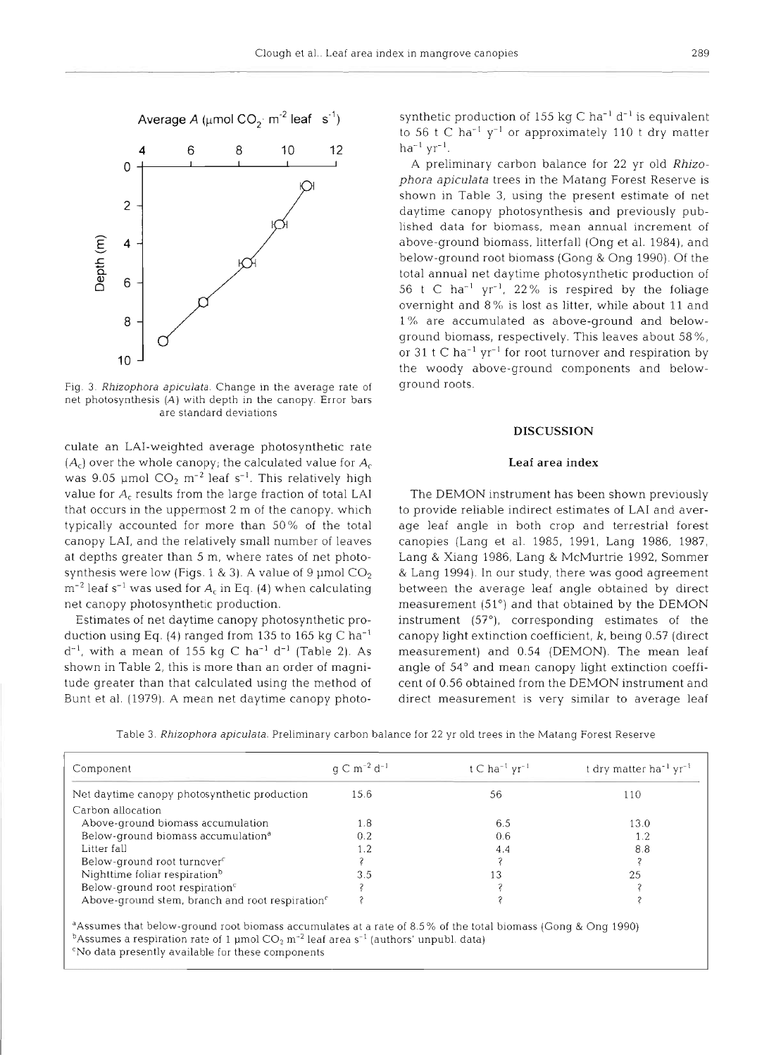

Fig. 3. Rhizophora apiculata. Change in the average rate of net photosynthesis (A) with depth in the canopy. Error bars are standard deviations

culate an LAI-weighted average photosynthetic rate  $(A_c)$  over the whole canopy; the calculated value for  $A_c$ was 9.05 µmol  $CO_2$  m<sup>-2</sup> leaf s<sup>-1</sup>. This relatively high value for  $A_c$  results from the large fraction of total LAI that occurs in the uppermost 2 m of the canopy, which typically accounted for more than 50% of the total canopy LAI, and the relatively small number of leaves at depths greater than 5 m, where rates of net photosynthesis were low (Figs. 1 & 3). A value of 9  $\mu$ mol CO<sub>2</sub>  $m^{-2}$  leaf s<sup>-1</sup> was used for  $A_c$  in Eq. (4) when calculating net canopy photosynthetic production.

Estimates of net daytime canopy photosynthetic production using Eq. (4) ranged from 135 to 165 kg C ha-'  $d^{-1}$ , with a mean of 155 kg C ha<sup>-1</sup> d<sup>-1</sup> (Table 2). As shown in Table 2, this is more than an order of magnitude greater than that calculated using the method of Bunt et al. (1979). A mean net daytime canopy photo-

synthetic production of 155 kg C ha<sup>-1</sup> d<sup>-1</sup> is equivalent<br>to 56 t C ha<sup>-1</sup> y<sup>-1</sup> or approximately 110 t dry matter<br>ha<sup>-1</sup> yr<sup>-1</sup>.<br>A preliminary carbon balance for 22 yr old *Rhizo-*<br>phora apiculata trees in the Matang F or 31 t C ha<sup>-1</sup> yr<sup>-1</sup> for root turnover and respiration by the woody above-ground components and below-ground roots.

# **DISCUSSION Leaf area index**

The DEMON instrument has been shown previously<br>to provide reliable indirect estimates of LAI and aver-<br>age leaf angle in both crop and terrestrial forest<br>canopies (Lang et al. 1985, 1991, Lang 1986, 1987,<br>Lang & Xiang 1986 & Lang 1994). In our study, there was good agreement<br>between the average leaf angle obtained by direct<br>measurement (51°) and that obtained by the DEMON<br>instrument (57°), corresponding estimates of the<br>canopy light extinct

|  |  | Table 3. Rhizophora apiculata. Preliminary carbon balance for 22 yr old trees in the Matang Forest Reserve |
|--|--|------------------------------------------------------------------------------------------------------------|
|  |  |                                                                                                            |

| Component                                                   | $q \text{ C m}^{-2} d^{-1}$ | t C ha <sup>-1</sup> $yr^{-1}$ | t dry matter ha <sup>-1</sup> yr <sup>-1</sup> |
|-------------------------------------------------------------|-----------------------------|--------------------------------|------------------------------------------------|
| Net daytime canopy photosynthetic production                | 15.6                        | 56                             | 110                                            |
| Carbon allocation                                           |                             |                                |                                                |
| Above-ground biomass accumulation                           | 1.8                         | 6.5                            | 13.0                                           |
| Below-ground biomass accumulation <sup>a</sup>              | 0.2                         | 0.6                            | 1.2                                            |
| Litter fall                                                 |                             | 4.4                            | 8.8                                            |
| Below-ground root turnover <sup>c</sup>                     |                             |                                |                                                |
| Nighttime foliar respiration <sup>b</sup>                   | 3.5                         | 13                             | 25                                             |
| Below-ground root respiration <sup>c</sup>                  |                             |                                |                                                |
| Above-ground stem, branch and root respiration <sup>e</sup> |                             |                                |                                                |

<sup>a</sup>Assumes that below-ground root biomass accumulates at a rate of 8.5% of the total biomass (Gong & Ong 1990) <sup>b</sup>Assumes a respiration rate of 1 µmol  $CO_2$  m<sup>-2</sup> leaf area s<sup>-1</sup> (authors' unpubl. data) 'No data presently available for these components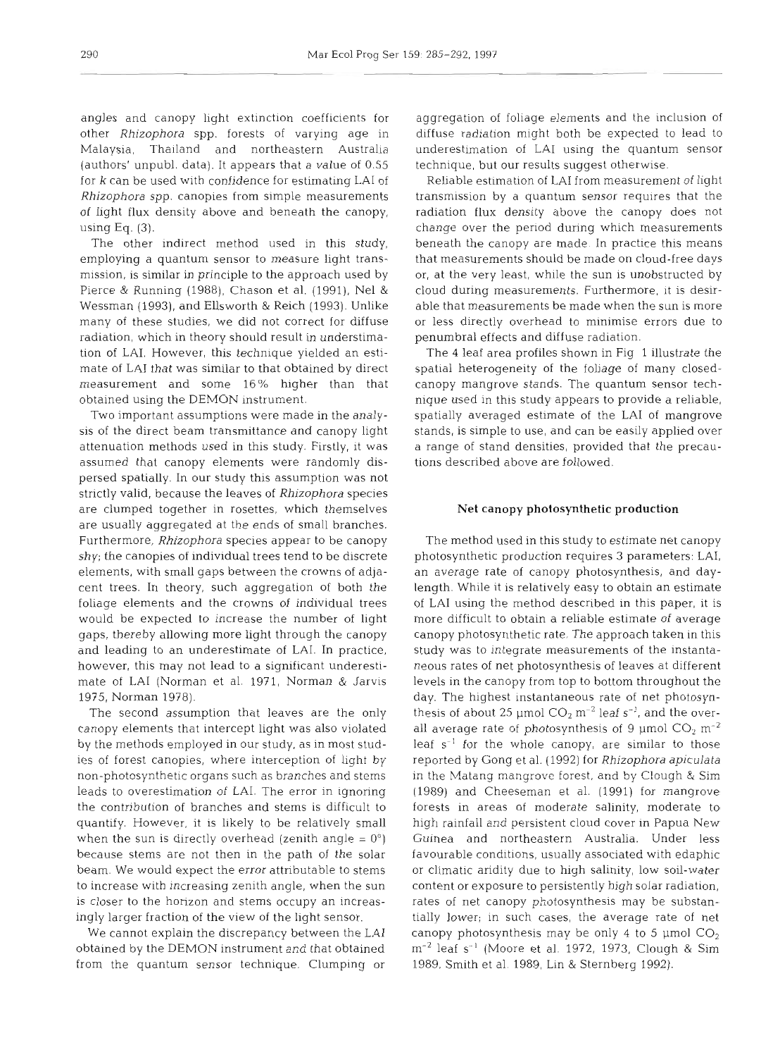angles and canopy light extinction coefficients for other *Rhizophora* spp. forests of varying age in Malaysia, Thailand and northeastern Australia (authors' unpubl. data). It appears that a value of 0.55 for k can be used with confidence for estimating LA1 of *Rhizophora* spp. canopies from simple measurements of light flux density above and beneath the canopy, using Eq.  $(3)$ .

The other indirect method used in this study, employing a quantum sensor to measure light transmission, is similar in principle to the approach used by Pierce & Running (1988), Chason et al. (1991), Nel & Wessman (1993), and Ellsworth & Reich (1993). Unlike many of these studies, we did not correct for diffuse radiation, which in theory should result in understimation of LAI. However, this technique yielded an estimate of LA1 that was similar to that obtained by direct measurement and some 16% higher than that obtained using the DEMON instrument.

Two important assumptions were made in the analysis of the direct beam transmittance and canopy light attenuation methods used in this study. Firstly, it was assumed that canopy elements were randomly dispersed spatially. In our study this assumption was not strictly valid, because the leaves of *Rhizophora* species are clumped together in rosettes, which themselves are usually aggregated at the ends of small branches. Furthermore, *Rhizophora* species appear to be canopy shy; the canopies of individual trees tend to be discrete elements, with small gaps between the crowns of adjacent trees. In theory, such aggregation of both the foliage elements and the crowns of individual trees would be expected to increase the number of light gaps, thereby allowing more light through the canopy and leading to an underestimate of LAI. In practice, however, this may not lead to a significant underestimate of LA1 (Norman et al. 1971, Norman & Jarvis 1975, Norman 1978).

The second assumption that leaves are the only canopy elements that intercept light was also violated by the methods employed in our study, as in most studies of forest canopies, where interception of light by non-photosynthetic organs such as branches and stems leads to overestimation of LAI. The error in ignoring the contribution of branches and stems is difficult to quantify. However, it is likely to be relatively small when the sun is directly overhead (zenith angle  $= 0^{\circ}$ ) because stems are not then in the path of the solar beam. We would expect the error attributable to stems to increase with increasing zenith angle, when the sun is closer to the horizon and stems occupy an increasingly larger fraction of the view of the light sensor.

We cannot explain the discrepancy between the LA1 obtained by the DEMON instrument and that obtained from the quantum sensor technique. Clumping or aggregation of foliage elements and the inclusion of diffuse radiation might both be expected to lead to underestimation of LA1 using the quantum sensor technique, but our results suggest otherwise.

Reliable estimation of LA1 from measurement of light transmission by a quantum sensor requires that the radiation flux density above the canopy does not change over the period during which measurements beneath the canopy are made. In practice this means that measurements should be made on cloud-free days or, at the very least, while the sun is unobstructed by cloud during measurements. Furthermore, it is desirable that measurements be made when the sun is more or less directly overhead to minimise errors due to penumbra1 effects and diffuse radiation.

The 4 leaf area profiles shown in Fig 1 illustrate the spatial heterogeneity of the foliage of many closedcanopy mangrove stands. The quantum sensor technique used in this study appears to provide a reliable, spatially averaged estimate of the LA1 of mangrove stands, is simple to use, and can be easily applied over a range of stand densities, provided that the precautions described above are followed.

### **Net** canopy photosynthetic production

The method used in this study to estimate net canopy photosynthetic production requires 3 parameters: LAI, an average rate of canopy photosynthesis, and daylength. While it is relatively easy to obtain an estimate of LA1 using the method described in this paper, it is more difficult to obtain a reliable estimate of average canopy photosynthetic rate. The approach taken in this study was to integrate measurements of the instantaneous rates of net photosynthesis of leaves at different levels in the canopy from top to bottom throughout the day. The highest instantaneous rate of net photosynthesis of about 25 µmol  $CO_2$  m<sup>-2</sup> leaf s<sup>-1</sup>, and the overall average rate of photosynthesis of 9  $\mu$ mol  $CO_2$  m<sup>-2</sup> leaf  $s^{-1}$  for the whole canopy, are similar to those reported by Gong et al. (1992) for *Rhizophora apiculata*  in the Matang mangrove forest, and by Clough & Sim (1989) and Cheeseman et al. (1991) for mangrove forests in areas of moderate salinity, moderate to high rainfall and persistent cloud cover in Papua New Guinea and northeastern Australia. Under less favourable conditions, usually associated with edaphic or climatic aridity due to high salinity, low soil-water content or exposure to persistently high solar radiation, rates of net canopy photosynthesis may be substantially lower; in such cases, the average rate of net canopy photosynthesis may be only 4 to 5  $\mu$ mol CO<sub>2</sub>  $\rm m^{-2}$  leaf s<sup>-1</sup> (Moore et al. 1972, 1973, Clough & Sim 1989, Smith et al. 1989, Lin & Sternberg 1992).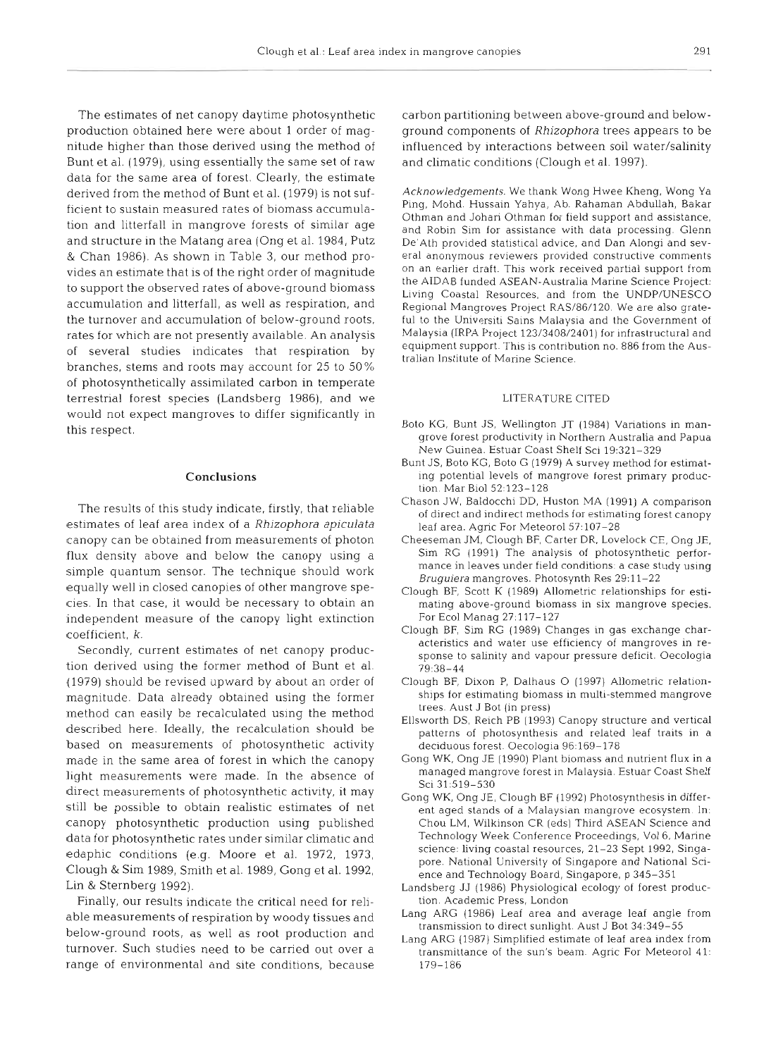The estimates of net canopy daytime photosynthetic production obtained here were about 1 order of magnitude higher than those derived using the method of Bunt et al. (1979). using essentially the same set of raw data for the same area of forest. Clearly, the estimate derived from the method of Bunt et al. (1979) is not sufficient to sustain measured rates of biomass accumulation and litterfall in mangrove forests of similar age and structure in the Matang area (Ong et al. 1984, Putz & Chan 1986). As shown in Table **3,** our method provides an estimate that is of the right order of magnitude to support the observed rates of above-ground biomass accumulation and litterfall, as well as respiration, and the turnover and accumulation of below-ground roots, rates for which are not presently available. An analysis of several studies indicates that respiration by branches, stems and roots may account for 25 to 50% of photosynthetically assimilated carbon in temperate terrestrial forest species (Landsberg 1986), and we would not expect mangroves to differ significantly in this respect.

#### Conclusions

The results of this study indicate, firstly, that reliable estimates of leaf area index of a *Rhizophora apiculata*  canopy can be obtained from measurements of photon flux density above and below the canopy using a simple quantum sensor. The technique should work equally well in closed canopies of other mangrove species. In that case, it would be necessary to obtain an independent measure of the canopy light extinction coefficient, k.

Secondly, current estimates of net canopy production derived using the former method of Bunt et al. (1979) should be revised upward by about an order of magnitude. Data already obtained using the former method can easily be recalculated using the method described here. Ideally, the recalculation should be based on measurements of photosynthetic activity made in the same area of forest in which the canopy light measurements were made. In the absence of direct measurements of photosynthetic activity, it may still be possible to obtain realistic estimates of net canopy photosynthetic production using published data for photosynthetic rates under similar climatic and edaphic conditions (e.g. Moore et al. 1972, 1973, Clough & Sim 1989, Smith et al. 1989, Gong et al. 1992, Lin & Sternberg 1992).

Finally, our results indicate the critical need for reliable measurements of respiration by woody tissues and below-ground roots, as well as root production and turnover. Such studies need to be carried out over a range of environmental and site conditions, because

carbon partitioning between above-ground and belowground components of *Rhizophora* trees appears to be influenced by interactions between soil water/salinity and climatic conditions (Clough et al. 1997).

Acknowledgements. We thank Wong Hwee Kheng, Wong Ya Ping. Mohd. Hussain Yahya, Ab. Rahaman AbduUah, Bakar Othman and Johari Othman for field support and assistance, and Robin Sim for assistance with data processing. Glenn De'Ath provided statistical advice, and Dan Alongi and several anonymous reviewers provided constructive comments on an earlier draft. This work received partial support from the AIDAB funded ASEAN-Australia Marine Science Project: Living Coastal Resources, and from the UNDP/UNESCO Regional Mangroves Project RAS/86/120. We are also grateful to the Universiti Sains Malaysia and the Government of Malaysia (1RPA Project 123/3408/2401) for infrastructural and equipment support. This is contribution no. 886 from the Australian Institute of Marine Science.

#### LITERATURE CITED

- Boto KG, Bunt JS, Wellington JT (1984) Variations in mangrove forest productivity in Northern Australia and Papua New Guinea. Estuar Coast Shelf Sci 19:321-329
- Bunt JS, Boto KG, Boto G (1979) A survey method for estimating potential levels of mangrove forest primary production. Mar Biol 52:123–12
- Chason JW, Baldocchi DD, Huston MA (1991) A comparison of direct and indirect methods for estimating forest canopy leaf area. Agric For Meteorol 57:107-28
- Cheeseman JM, Clough BF, Carter DR. Lovelock CE, Ong JE, Sim RG (1991) The analysis of photosynthetic performance in leaves under field conditions: a case study using Bruguiera mangroves. Photosynth Res 29:11-22
- Clough BF, Scott K (1989) Allometric relationships for estimating above-ground biomass in six mangrove species. For Ecol Manag 27:117-127
- Clough BF, Sim RG (1989) Changes in gas exchange characteristics and water use efficiency of mangroves in response to salinity and vapour pressure deficit. Oecologia 79:38-44
- Clough BF, Dixon P, Dalhaus 0 (1997) Allometric relationships for estimating biomass in multi-stemmed mangrove trees. Aust J Bot (in press)
- Ellsworth DS, Reich PB (1993) Canopy structure and vertical patterns of photosynthesis and related leaf traits in a deciduous forest. Oecologia 96:169-178
- Gong WK, Ong JE (1990) Plant hiomass and nutrient flux in a managed mangrove forest in Malaysia. Estuar Coast Shelf Sci 31:519-530
- Gong WK, Ong JE, Clough BF (1992) Photosynthesis in different aged stands of a Malaysian mangrove ecosystem. In: Chou LM, Wilkinson CR (eds) Third ASEAN Science and Technology Week Conference Proceedings, Vol6, Marine science: living coastal resources, 21-23 Sept 1992, Singapore. National University of Singapore and National Science and Technology Board, Singapore, p 345-351
- Landsberg JJ (1986) Physiological ecology of forest production. Academic Press, London
- Lang ARG (1986) Leaf area and average leaf angle from transmission to direct sunlight. Aust J Bot 34:349-55
- Lang ARG (1987) Simplified estimate of leaf area index from transmittance of the sun's beam. Agric For Meteorol 41: 179-186